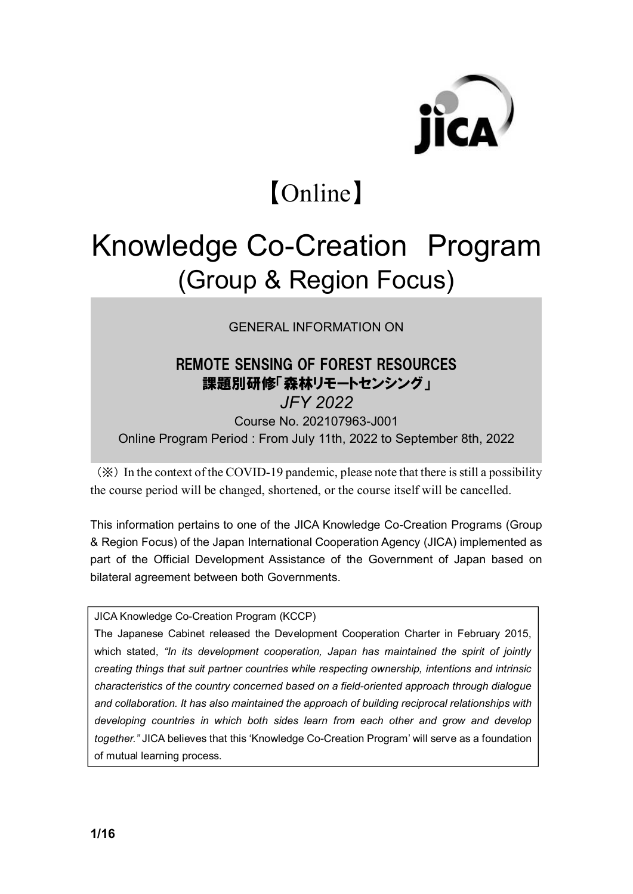

# 【Online】

# Knowledge Co-Creation Program (Group & Region Focus)

GENERAL INFORMATION ON

### REMOTE SENSING OF FOREST RESOURCES 課題別研修「森林リモートセンシング」 *JFY 2022* Course No. 202107963-J001 Online Program Period : From July 11th, 2022 to September 8th, 2022

(※) In the context of the COVID-19 pandemic, please note that there is still a possibility the course period will be changed, shortened, or the course itself will be cancelled.

This information pertains to one of the JICA Knowledge Co-Creation Programs (Group & Region Focus) of the Japan International Cooperation Agency (JICA) implemented as part of the Official Development Assistance of the Government of Japan based on bilateral agreement between both Governments.

#### JICA Knowledge Co-Creation Program (KCCP)

The Japanese Cabinet released the Development Cooperation Charter in February 2015, which stated, *"In its development cooperation, Japan has maintained the spirit of jointly creating things that suit partner countries while respecting ownership, intentions and intrinsic characteristics of the country concerned based on a field-oriented approach through dialogue and collaboration. It has also maintained the approach of building reciprocal relationships with developing countries in which both sides learn from each other and grow and develop together."* JICA believes that this 'Knowledge Co-Creation Program' will serve as a foundation of mutual learning process.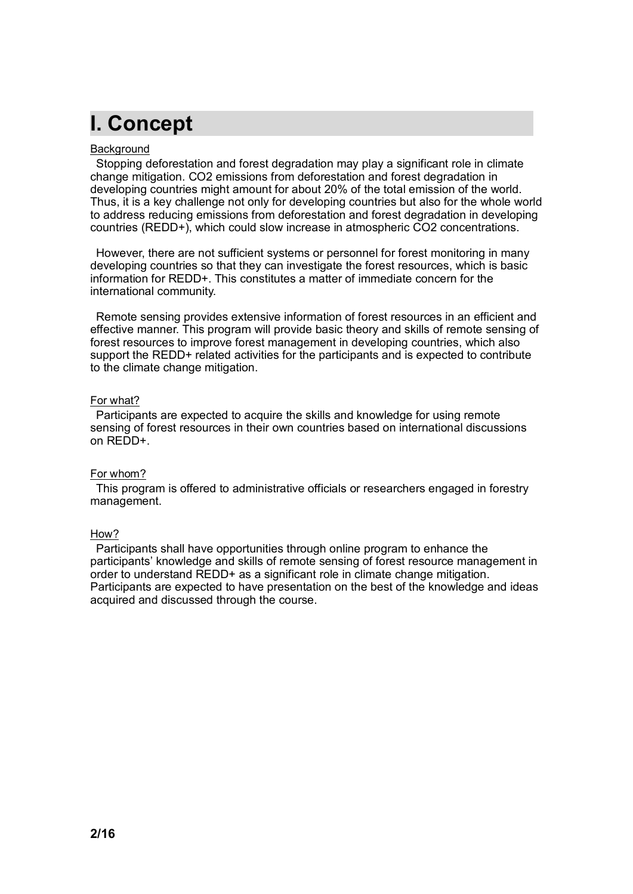# **I. Concept**

#### **Background**

Stopping deforestation and forest degradation may play a significant role in climate change mitigation. CO2 emissions from deforestation and forest degradation in developing countries might amount for about 20% of the total emission of the world. Thus, it is a key challenge not only for developing countries but also for the whole world to address reducing emissions from deforestation and forest degradation in developing countries (REDD+), which could slow increase in atmospheric CO2 concentrations.

However, there are not sufficient systems or personnel for forest monitoring in many developing countries so that they can investigate the forest resources, which is basic information for REDD+. This constitutes a matter of immediate concern for the international community.

Remote sensing provides extensive information of forest resources in an efficient and effective manner. This program will provide basic theory and skills of remote sensing of forest resources to improve forest management in developing countries, which also support the REDD+ related activities for the participants and is expected to contribute to the climate change mitigation.

#### For what?

Participants are expected to acquire the skills and knowledge for using remote sensing of forest resources in their own countries based on international discussions on REDD+.

#### For whom?

This program is offered to administrative officials or researchers engaged in forestry management.

#### How?

Participants shall have opportunities through online program to enhance the participants' knowledge and skills of remote sensing of forest resource management in order to understand REDD+ as a significant role in climate change mitigation. Participants are expected to have presentation on the best of the knowledge and ideas acquired and discussed through the course.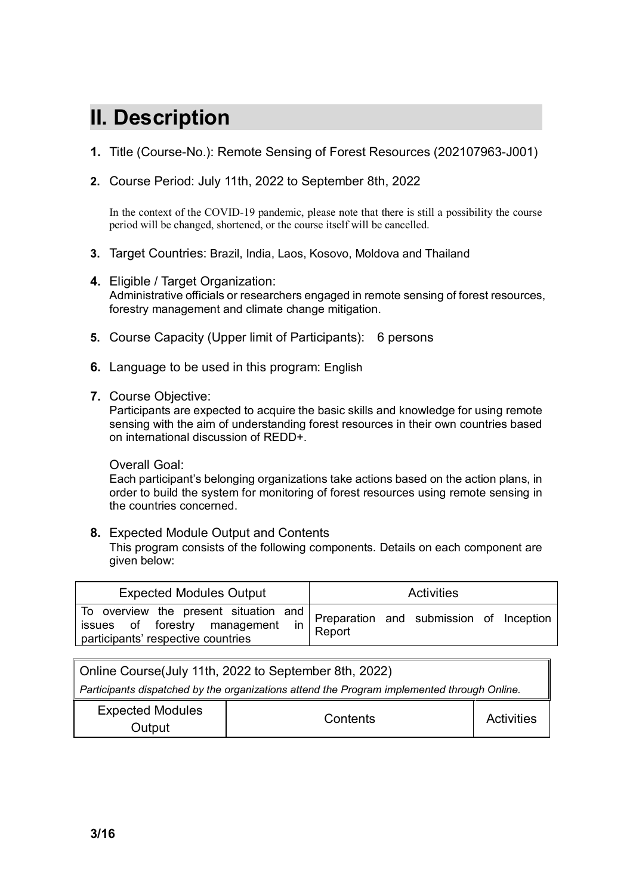# **II. Description**

- **1.** Title (Course-No.): Remote Sensing of Forest Resources (202107963-J001)
- **2.** Course Period: July 11th, 2022 to September 8th, 2022

In the context of the COVID-19 pandemic, please note that there is still a possibility the course period will be changed, shortened, or the course itself will be cancelled.

- **3.** Target Countries: Brazil, India, Laos, Kosovo, Moldova and Thailand
- **4.** Eligible / Target Organization: Administrative officials or researchers engaged in remote sensing of forest resources, forestry management and climate change mitigation.
- **5.** Course Capacity (Upper limit of Participants): 6 persons
- **6.** Language to be used in this program: English
- **7.** Course Objective:

Participants are expected to acquire the basic skills and knowledge for using remote sensing with the aim of understanding forest resources in their own countries based on international discussion of REDD+.

#### Overall Goal:

Each participant's belonging organizations take actions based on the action plans, in order to build the system for monitoring of forest resources using remote sensing in the countries concerned.

#### **8.** Expected Module Output and Contents

This program consists of the following components. Details on each component are given below:

| <b>Expected Modules Output</b>     | Activities                                                                              |
|------------------------------------|-----------------------------------------------------------------------------------------|
| participants' respective countries | To overview the present situation and Preparation and submission of Inception<br>Report |

| Online Course(July 11th, 2022 to September 8th, 2022)                                       |          |                   |  |  |
|---------------------------------------------------------------------------------------------|----------|-------------------|--|--|
| Participants dispatched by the organizations attend the Program implemented through Online. |          |                   |  |  |
| <b>Expected Modules</b><br>Output                                                           | Contents | <b>Activities</b> |  |  |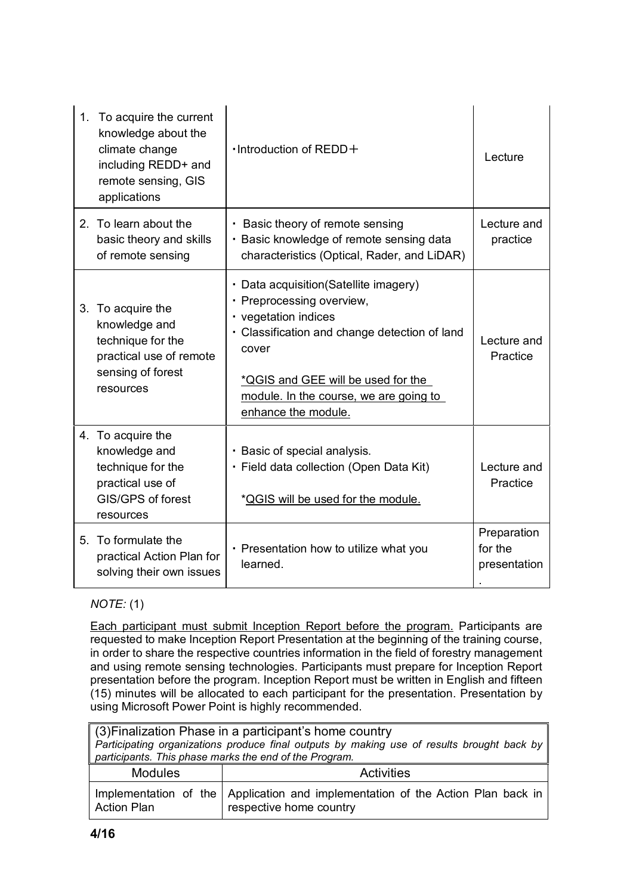| 1. To acquire the current<br>knowledge about the<br>climate change<br>including REDD+ and<br>remote sensing, GIS<br>applications | $\cdot$ Introduction of REDD $+$                                                                                                                                                                                                                             | Lecture                                |
|----------------------------------------------------------------------------------------------------------------------------------|--------------------------------------------------------------------------------------------------------------------------------------------------------------------------------------------------------------------------------------------------------------|----------------------------------------|
| 2. To learn about the<br>basic theory and skills<br>of remote sensing                                                            | • Basic theory of remote sensing<br>· Basic knowledge of remote sensing data<br>characteristics (Optical, Rader, and LiDAR)                                                                                                                                  | Lecture and<br>practice                |
| 3. To acquire the<br>knowledge and<br>technique for the<br>practical use of remote<br>sensing of forest<br>resources             | • Data acquisition (Satellite imagery)<br>• Preprocessing overview,<br>• vegetation indices<br>• Classification and change detection of land<br>cover<br>*QGIS and GEE will be used for the<br>module. In the course, we are going to<br>enhance the module. | Lecture and<br>Practice                |
| 4. To acquire the<br>knowledge and<br>technique for the<br>practical use of<br>GIS/GPS of forest<br>resources                    | · Basic of special analysis.<br>· Field data collection (Open Data Kit)<br>*QGIS will be used for the module.                                                                                                                                                | Lecture and<br>Practice                |
| 5. To formulate the<br>practical Action Plan for<br>solving their own issues                                                     | • Presentation how to utilize what you<br>learned.                                                                                                                                                                                                           | Preparation<br>for the<br>presentation |

### *NOTE:* (1)

Each participant must submit Inception Report before the program. Participants are requested to make Inception Report Presentation at the beginning of the training course, in order to share the respective countries information in the field of forestry management and using remote sensing technologies. Participants must prepare for Inception Report presentation before the program. Inception Report must be written in English and fifteen (15) minutes will be allocated to each participant for the presentation. Presentation by using Microsoft Power Point is highly recommended.

| ∥ (3)Finalization Phase in a participant's home country |                                                                                                              |  |  |  |  |
|---------------------------------------------------------|--------------------------------------------------------------------------------------------------------------|--|--|--|--|
|                                                         | Participating organizations produce final outputs by making use of results brought back by                   |  |  |  |  |
|                                                         | participants. This phase marks the end of the Program.                                                       |  |  |  |  |
| <b>Modules</b>                                          | Activities                                                                                                   |  |  |  |  |
| <b>Action Plan</b>                                      | Implementation of the   Application and implementation of the Action Plan back in<br>respective home country |  |  |  |  |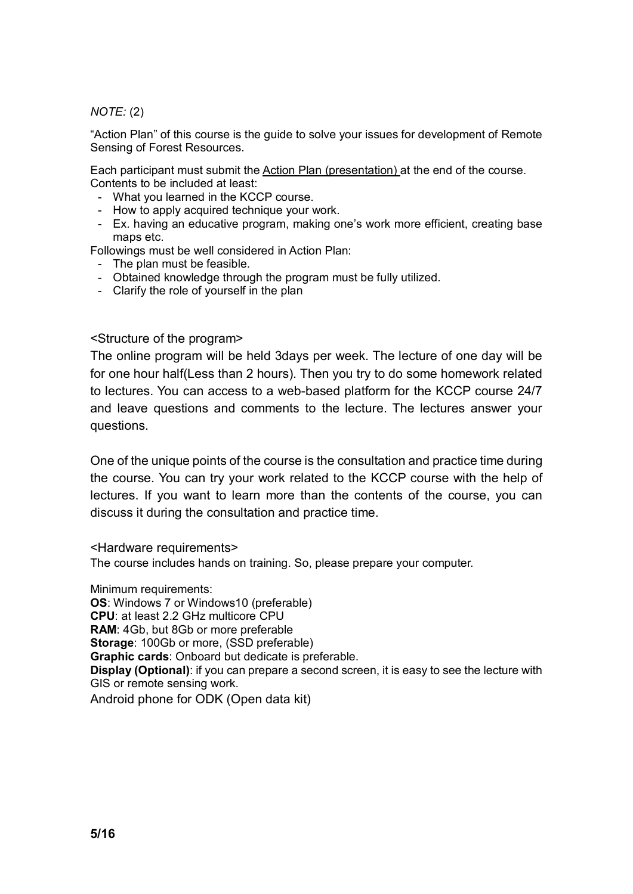*NOTE:* (2)

"Action Plan" of this course is the guide to solve your issues for development of Remote Sensing of Forest Resources.

Each participant must submit the Action Plan (presentation) at the end of the course. Contents to be included at least:

- What you learned in the KCCP course.
- How to apply acquired technique your work.
- Ex. having an educative program, making one's work more efficient, creating base maps etc.

Followings must be well considered in Action Plan:

- The plan must be feasible.
- Obtained knowledge through the program must be fully utilized.
- Clarify the role of yourself in the plan

<Structure of the program>

The online program will be held 3days per week. The lecture of one day will be for one hour half(Less than 2 hours). Then you try to do some homework related to lectures. You can access to a web-based platform for the KCCP course 24/7 and leave questions and comments to the lecture. The lectures answer your questions.

One of the unique points of the course is the consultation and practice time during the course. You can try your work related to the KCCP course with the help of lectures. If you want to learn more than the contents of the course, you can discuss it during the consultation and practice time.

<Hardware requirements>

The course includes hands on training. So, please prepare your computer.

Minimum requirements:

**OS**: Windows 7 or Windows10 (preferable)

**CPU**: at least 2.2 GHz multicore CPU

**RAM**: 4Gb, but 8Gb or more preferable

**Storage**: 100Gb or more, (SSD preferable)

**Graphic cards**: Onboard but dedicate is preferable.

**Display (Optional)**: if you can prepare a second screen, it is easy to see the lecture with GIS or remote sensing work.

Android phone for ODK (Open data kit)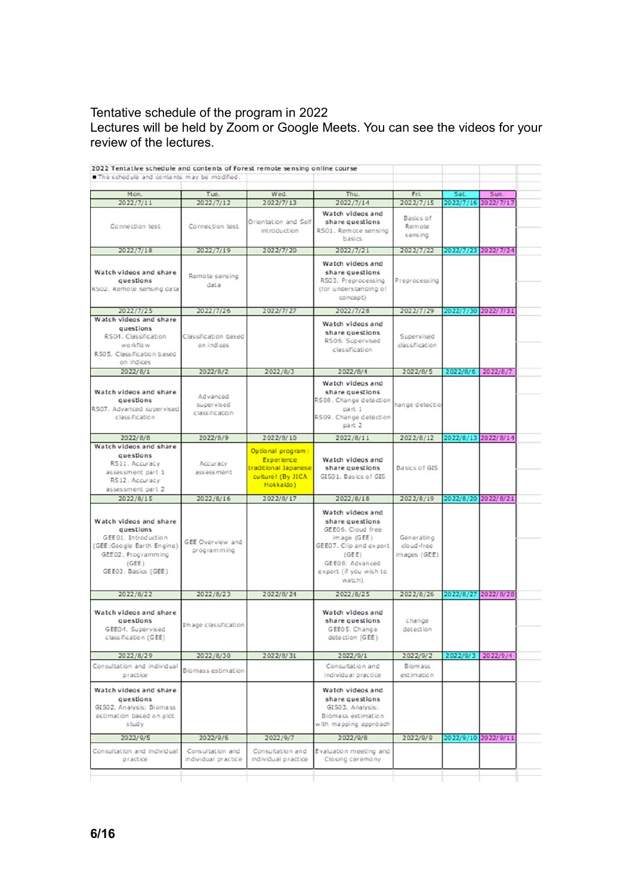#### Tentative schedule of the program in 2022

Lectures will be held by Zoom or Google Meets. You can see the videos for your review of the lectures.

| Mon.                        | Tue.                 | Wed.                                    | Thu.                                       | Fri.           | Sat.      | Sun.                |
|-----------------------------|----------------------|-----------------------------------------|--------------------------------------------|----------------|-----------|---------------------|
| 2022/7/11                   | 2022/7/12            | 2022/7/13                               | 2022/7/14                                  | 2022/7/15      | 2022/7/16 | 2022/7/17           |
|                             |                      |                                         | Watch videos and                           | Basics of      |           |                     |
| Connection test             | Connection test      | Orientation and Self                    | share questions                            | Remote         |           |                     |
|                             |                      | introduction                            | RS01. Remote sensing                       | sensing        |           |                     |
|                             |                      |                                         | basics                                     |                |           |                     |
| 2022/7/18                   | 2022/7/19            | 2022/7/20                               | 2022/7/21                                  | 2022/7/22      |           | 2022/7/23 2022/7/24 |
|                             |                      |                                         | Watch videos and                           |                |           |                     |
| Watch videos and share      |                      |                                         | share questions                            |                |           |                     |
| questions                   | Remote sensing       |                                         | RS03. Preprocessing                        | Preprocessing  |           |                     |
| RS02. Remote sensing data   | data                 |                                         | (for understanding of                      |                |           |                     |
|                             |                      |                                         | concept)                                   |                |           |                     |
| 2022/7/25                   | 2022/7/26            | 2022/7/27                               | 2022/7/28                                  | 2022/7/29      | 2022/7/30 | 2022/7/31           |
| Watch videos and share      |                      |                                         |                                            |                |           |                     |
| questions                   |                      |                                         | Watch videos and                           |                |           |                     |
| RSD1. Classification        | Classification based |                                         | share questions                            | Supervised     |           |                     |
| workflow                    | on indices           |                                         | RS06, Supervised                           | dassification  |           |                     |
| R505. Classification based  |                      |                                         | classification                             |                |           |                     |
| on indices                  |                      |                                         |                                            |                |           |                     |
| 2022/8/1                    | 2022/8/2             | 2022/8/3                                | 2022/8/4                                   | 2022/8/5       | 2022/8/6  | 2022/8/7            |
|                             |                      |                                         | Watch videos and                           |                |           |                     |
| Watch videos and share      |                      |                                         | share questions                            |                |           |                     |
| questions                   | Advanced             |                                         | RS08. Change detection                     |                |           |                     |
| RS07. Advanced supervised   | supervised           |                                         | part 1                                     | hange detectio |           |                     |
| classification              | classification       |                                         | RS09. Change detection                     |                |           |                     |
|                             |                      |                                         | part 2                                     |                |           |                     |
| 2022/8/8                    |                      | 2022/8/10                               | 2022/8/11                                  | 2022/8/12      | 2022/8/13 | 2022/8/14           |
| Watch videos and share      | 2022/8/9             |                                         |                                            |                |           |                     |
| questions                   |                      | Optional program:                       |                                            |                |           |                     |
| RS11. Accuracy              | Accuracy             | Experience                              | Watch videos and                           |                |           |                     |
| assessment part 1           | assessment           | traditional Japanese                    | share questions                            | Basics of GIS  |           |                     |
| RS12. Accuracy              |                      | culture! (By JICA                       | GISO1. Basics of GIS                       |                |           |                     |
| assessment part 2           |                      | Hokkaido)                               |                                            |                |           |                     |
| 2022/8/15                   | 2022/8/16            | 2022/8/17                               | 2022/8/18                                  | 2022/8/19      | 2022/8/20 | 2022/8/21           |
|                             |                      |                                         |                                            |                |           |                     |
|                             |                      |                                         | Watch videos and                           |                |           |                     |
| Watch videos and share      |                      |                                         | share questions                            |                |           |                     |
| questions                   |                      |                                         | GEE06. Cloud free                          |                |           |                     |
| GEE01. Introduction         | GEE Overview and     |                                         | image (GEE)                                | Generating     |           |                     |
| (GEE:Google Earth Engine)   | programming          |                                         | GEE07. Clip and export                     | doud-free      |           |                     |
| GEE02. Programming          |                      |                                         | (GEE)                                      | images (GEE)   |           |                     |
| (GEE)                       |                      |                                         | GEE08: Advanced                            |                |           |                     |
| GEE03. Basics (GEE)         |                      |                                         | export (if you wish to                     |                |           |                     |
|                             |                      |                                         | watch)                                     |                |           |                     |
| 2022/8/22                   | 2022/8/23            | 2022/8/24                               | 2022/8/25                                  | 2022/8/26      |           | 2022/8/27 2022/8/28 |
|                             |                      |                                         |                                            |                |           |                     |
| Watch videos and share      |                      |                                         | Watch videos and                           |                |           |                     |
| questions                   | Image classification |                                         | share questions                            | change         |           |                     |
| GEE04. Supervised           |                      |                                         | GEE05. Change                              | detection      |           |                     |
| classification (GEE)        |                      |                                         | detection (GEE)                            |                |           |                     |
| 2022/8/29                   | 2022/8/30            | 2022/8/31                               | 2022/9/1                                   | 2022/9/2       | 2022/9/3  | 2022/9/4            |
| Consultation and individual |                      |                                         | Consultation and                           | Biom ass       |           |                     |
| practice                    | Biomass estimation   |                                         | individual practice                        | estimation     |           |                     |
|                             |                      |                                         |                                            |                |           |                     |
| Watch videos and share      |                      |                                         | Watch videos and                           |                |           |                     |
| questions                   |                      |                                         | share questions                            |                |           |                     |
| GISO2. Analysis: Biomass    |                      |                                         | GISO3. Analysis:                           |                |           |                     |
| estimation based on plot    |                      |                                         | Biomass estimation                         |                |           |                     |
| study                       |                      |                                         | with mapping approach                      |                |           |                     |
| 2022/9/5                    | 2022/9/6             | 2022/9/7                                | 2022/9/8                                   | 2022/9/9       |           | 2022/9/10 2022/9/11 |
|                             |                      |                                         |                                            |                |           |                     |
| Consultation and individual | Consultation and     | Consultation and<br>individual practice | Evaluation meeting and<br>Closing ceremony |                |           |                     |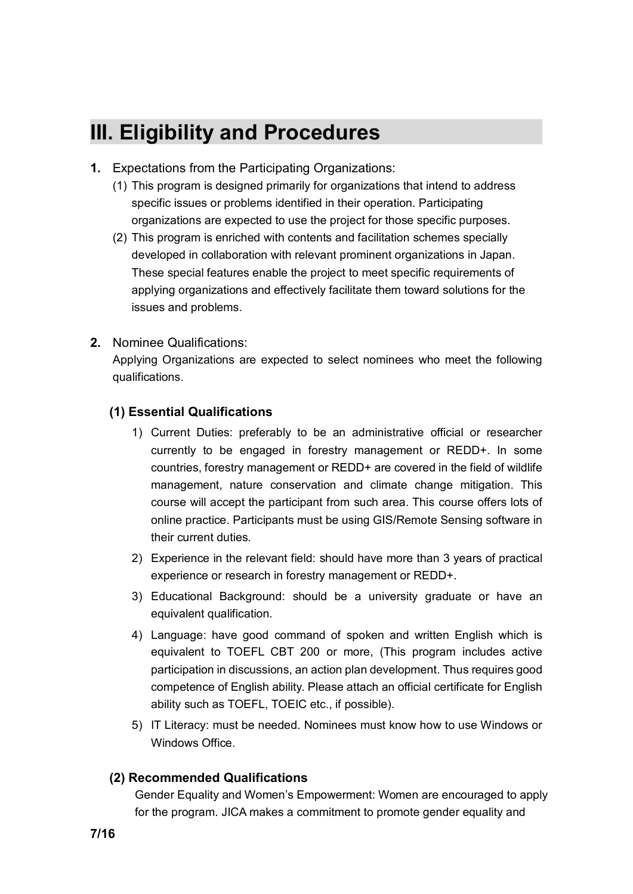# **III. Eligibility and Procedures**

- **1.** Expectations from the Participating Organizations:
	- (1) This program is designed primarily for organizations that intend to address specific issues or problems identified in their operation. Participating organizations are expected to use the project for those specific purposes.
	- (2) This program is enriched with contents and facilitation schemes specially developed in collaboration with relevant prominent organizations in Japan. These special features enable the project to meet specific requirements of applying organizations and effectively facilitate them toward solutions for the issues and problems.
- **2.** Nominee Qualifications:

Applying Organizations are expected to select nominees who meet the following qualifications.

#### **(1) Essential Qualifications**

- 1) Current Duties: preferably to be an administrative official or researcher currently to be engaged in forestry management or REDD+. In some countries, forestry management or REDD+ are covered in the field of wildlife management, nature conservation and climate change mitigation. This course will accept the participant from such area. This course offers lots of online practice. Participants must be using GIS/Remote Sensing software in their current duties.
- 2) Experience in the relevant field: should have more than 3 years of practical experience or research in forestry management or REDD+.
- 3) Educational Background: should be a university graduate or have an equivalent qualification.
- 4) Language: have good command of spoken and written English which is equivalent to TOEFL CBT 200 or more, (This program includes active participation in discussions, an action plan development. Thus requires good competence of English ability. Please attach an official certificate for English ability such as TOEFL, TOEIC etc., if possible).
- 5) IT Literacy: must be needed. Nominees must know how to use Windows or Windows Office.

#### **(2) Recommended Qualifications**

Gender Equality and Women's Empowerment: Women are encouraged to apply for the program. JICA makes a commitment to promote gender equality and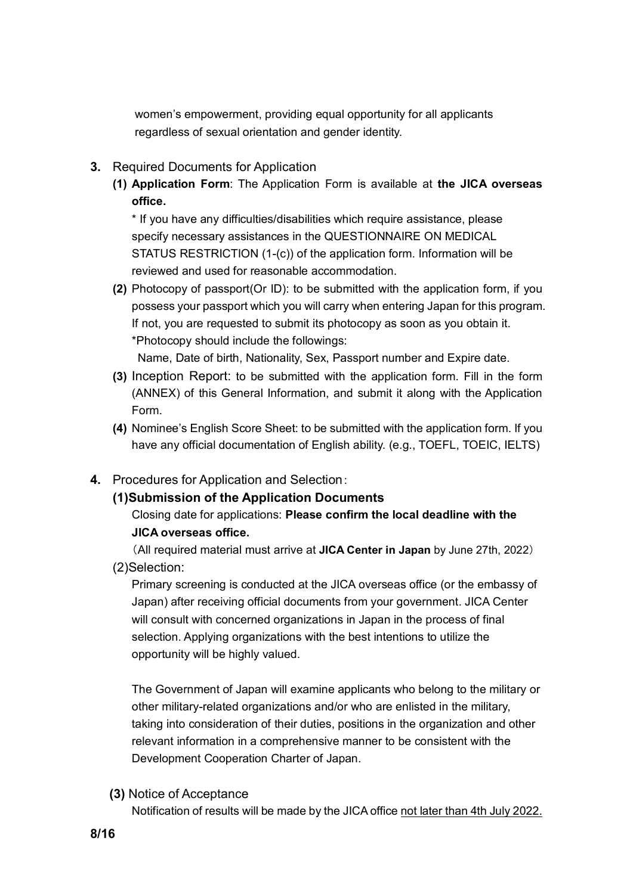women's empowerment, providing equal opportunity for all applicants regardless of sexual orientation and gender identity.

- **3.** Required Documents for Application
	- **(1) Application Form**: The Application Form is available at **the JICA overseas office.**

\* If you have any difficulties/disabilities which require assistance, please specify necessary assistances in the QUESTIONNAIRE ON MEDICAL STATUS RESTRICTION (1-(c)) of the application form. Information will be reviewed and used for reasonable accommodation.

**(2)** Photocopy of passport(Or ID): to be submitted with the application form, if you possess your passport which you will carry when entering Japan for this program. If not, you are requested to submit its photocopy as soon as you obtain it. \*Photocopy should include the followings:

Name, Date of birth, Nationality, Sex, Passport number and Expire date.

- **(3)** Inception Report: to be submitted with the application form. Fill in the form (ANNEX) of this General Information, and submit it along with the Application Form.
- **(4)** Nominee's English Score Sheet: to be submitted with the application form. If you have any official documentation of English ability. (e.g., TOEFL, TOEIC, IELTS)

#### **4.** Procedures for Application and Selection:

#### **(1)Submission of the Application Documents**

#### Closing date for applications: **Please confirm the local deadline with the JICA overseas office.**

(All required material must arrive at **JICA Center in Japan** by June 27th, 2022) (2)Selection:

Primary screening is conducted at the JICA overseas office (or the embassy of Japan) after receiving official documents from your government. JICA Center will consult with concerned organizations in Japan in the process of final selection. Applying organizations with the best intentions to utilize the opportunity will be highly valued.

The Government of Japan will examine applicants who belong to the military or other military-related organizations and/or who are enlisted in the military, taking into consideration of their duties, positions in the organization and other relevant information in a comprehensive manner to be consistent with the Development Cooperation Charter of Japan.

**(3)** Notice of Acceptance

Notification of results will be made by the JICA office not later than 4th July 2022.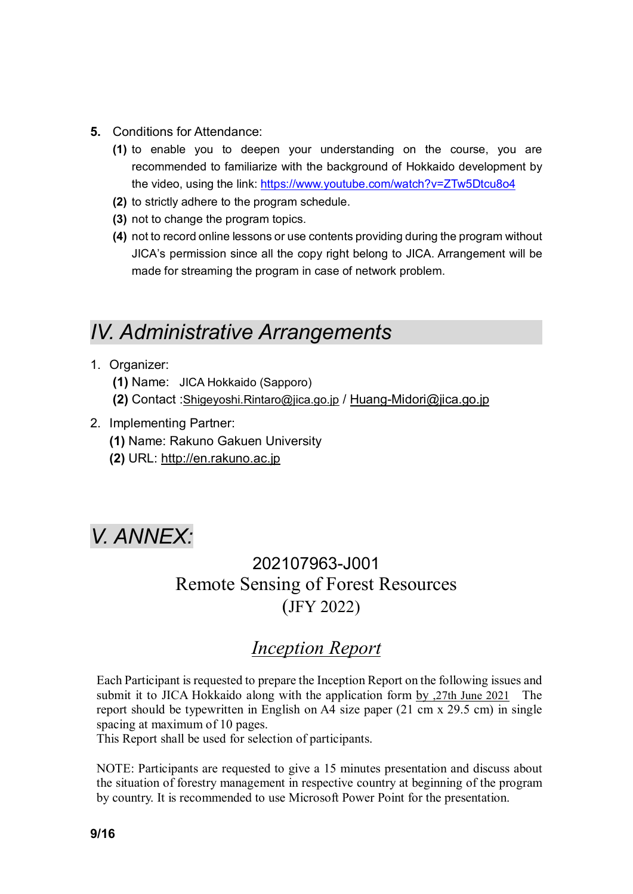- **5.** Conditions for Attendance:
	- **(1)** to enable you to deepen your understanding on the course, you are recommended to familiarize with the background of Hokkaido development by the video, using the link: https://www.youtube.com/watch?v=ZTw5Dtcu8o4
	- **(2)** to strictly adhere to the program schedule.
	- **(3)** not to change the program topics.
	- **(4)** not to record online lessons or use contents providing during the program without JICA's permission since all the copy right belong to JICA. Arrangement will be made for streaming the program in case of network problem.

## *IV. Administrative Arrangements*

- 1. Organizer:
	- **(1)** Name: JICA Hokkaido (Sapporo)
	- **(2)** Contact :Shigeyoshi.Rintaro@jica.go.jp / Huang-Midori@jica.go.jp
- 2. Implementing Partner:
	- **(1)** Name: Rakuno Gakuen University
	- **(2)** URL: http://en.rakuno.ac.jp

## *V. ANNEX:*

### 202107963-J001 Remote Sensing of Forest Resources (JFY 2022)

### *Inception Report*

Each Participant is requested to prepare the Inception Report on the following issues and submit it to JICA Hokkaido along with the application form by ,27th June 2021 The report should be typewritten in English on A4 size paper (21 cm x 29.5 cm) in single spacing at maximum of 10 pages.

This Report shall be used for selection of participants.

NOTE: Participants are requested to give a 15 minutes presentation and discuss about the situation of forestry management in respective country at beginning of the program by country. It is recommended to use Microsoft Power Point for the presentation.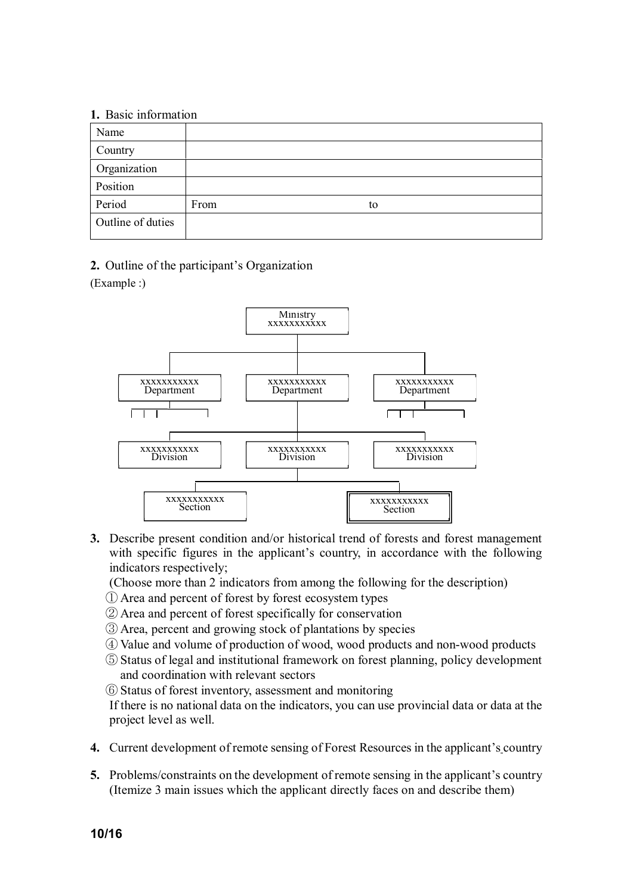#### **1.** Basic information

| 1, Dwole Hill Hillweich |      |    |  |
|-------------------------|------|----|--|
| Name                    |      |    |  |
| Country                 |      |    |  |
| Organization            |      |    |  |
| Position                |      |    |  |
| Period                  | From | to |  |
| Outline of duties       |      |    |  |

**2.** Outline of the participant's Organization

(Example :)



**3.** Describe present condition and/or historical trend of forests and forest management with specific figures in the applicant's country, in accordance with the following indicators respectively;

(Choose more than 2 indicators from among the following for the description)

- ① Area and percent of forest by forest ecosystem types
- ② Area and percent of forest specifically for conservation
- ③ Area, percent and growing stock of plantations by species
- ④ Value and volume of production of wood, wood products and non-wood products
- ⑤ Status of legal and institutional framework on forest planning, policy development and coordination with relevant sectors
- ⑥ Status of forest inventory, assessment and monitoring

If there is no national data on the indicators, you can use provincial data or data at the project level as well.

- **4.** Current development of remote sensing of Forest Resources in the applicant's country
- **5.** Problems/constraints on the development of remote sensing in the applicant's country (Itemize 3 main issues which the applicant directly faces on and describe them)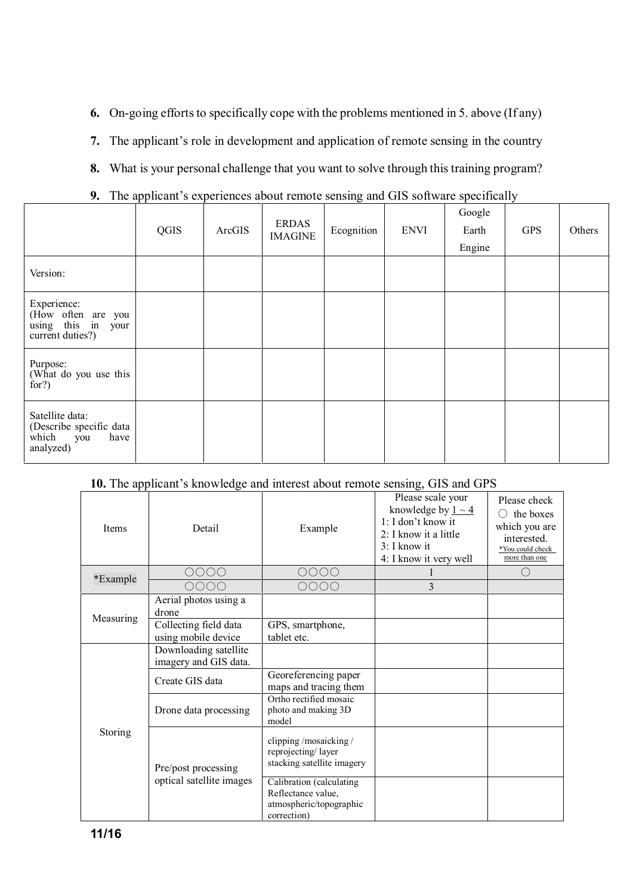- **6.** On-going efforts to specifically cope with the problems mentioned in 5. above (If any)
- **7.** The applicant's role in development and application of remote sensing in the country
- **8.** What is your personal challenge that you want to solve through this training program?
- **9.** The applicant's experiences about remote sensing and GIS software specifically

|                                                                                 | QGIS | ArcGIS | <b>ERDAS</b><br><b>IMAGINE</b> | Ecognition | <b>ENVI</b> | Google<br>Earth<br>Engine | <b>GPS</b> | Others |
|---------------------------------------------------------------------------------|------|--------|--------------------------------|------------|-------------|---------------------------|------------|--------|
| Version:                                                                        |      |        |                                |            |             |                           |            |        |
| Experience:<br>(How often are you<br>using this in<br>your<br>current duties?)  |      |        |                                |            |             |                           |            |        |
| Purpose:<br>(What do you use this<br>for?)                                      |      |        |                                |            |             |                           |            |        |
| Satellite data:<br>(Describe specific data<br>which<br>have<br>you<br>analyzed) |      |        |                                |            |             |                           |            |        |

#### **10.** The applicant's knowledge and interest about remote sensing, GIS and GPS

| <b>Items</b> | Detail                                         | Example                                                                                  | Please scale your<br>knowledge by $1 \sim 4$<br>1: I don't know it<br>2: I know it a little<br>3: I know it<br>4: I know it very well | Please check<br>the boxes<br>which you are<br>interested.<br>*You could check<br>more than one |
|--------------|------------------------------------------------|------------------------------------------------------------------------------------------|---------------------------------------------------------------------------------------------------------------------------------------|------------------------------------------------------------------------------------------------|
|              | 0000                                           | 0000                                                                                     |                                                                                                                                       | $\subset$                                                                                      |
| *Example     | OOOO                                           | 0000                                                                                     | 3                                                                                                                                     |                                                                                                |
|              | Aerial photos using a<br>drone                 |                                                                                          |                                                                                                                                       |                                                                                                |
| Measuring    | Collecting field data<br>using mobile device   | GPS, smartphone,<br>tablet etc.                                                          |                                                                                                                                       |                                                                                                |
| Storing      | Downloading satellite<br>imagery and GIS data. |                                                                                          |                                                                                                                                       |                                                                                                |
|              | Create GIS data                                | Georeferencing paper<br>maps and tracing them                                            |                                                                                                                                       |                                                                                                |
|              | Drone data processing                          | Ortho rectified mosaic<br>photo and making 3D<br>model                                   |                                                                                                                                       |                                                                                                |
|              | Pre/post processing                            | clipping/mosaicking/<br>reprojecting/layer<br>stacking satellite imagery                 |                                                                                                                                       |                                                                                                |
|              | optical satellite images                       | Calibration (calculating<br>Reflectance value,<br>atmospheric/topographic<br>correction) |                                                                                                                                       |                                                                                                |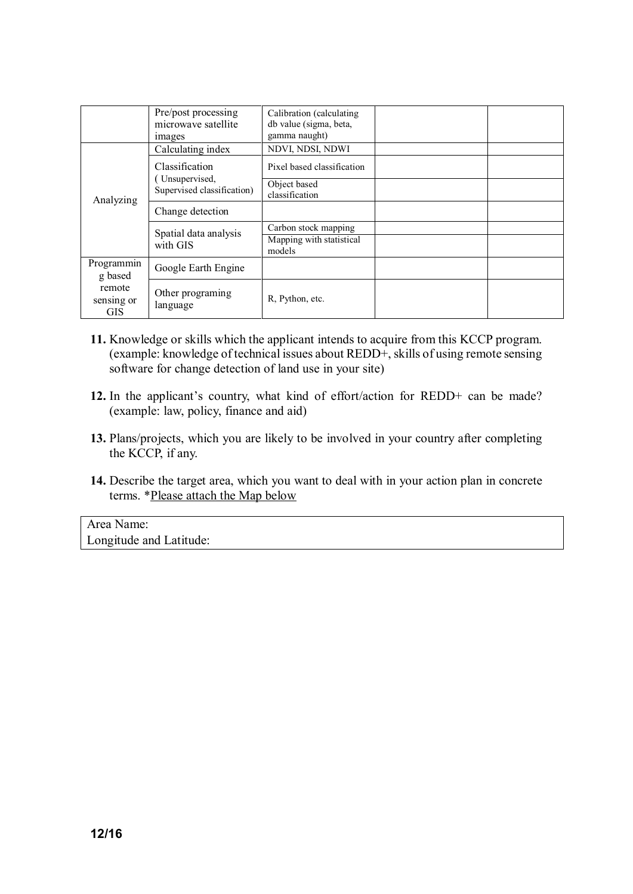|                                    | Pre/post processing<br>microwave satellite<br><i>images</i> | Calibration (calculating)<br>db value (sigma, beta,<br>gamma naught) |  |
|------------------------------------|-------------------------------------------------------------|----------------------------------------------------------------------|--|
|                                    | Calculating index                                           | NDVI, NDSI, NDWI                                                     |  |
|                                    | Classification                                              | Pixel based classification                                           |  |
| Analyzing                          | Unsupervised,<br>Supervised classification)                 | Object based<br>classification                                       |  |
|                                    | Change detection                                            |                                                                      |  |
|                                    | Spatial data analysis<br>with GIS                           | Carbon stock mapping                                                 |  |
|                                    |                                                             | Mapping with statistical<br>models                                   |  |
| Programmin<br>g based              | Google Earth Engine                                         |                                                                      |  |
| remote<br>sensing or<br><b>GIS</b> | Other programing<br>language                                | R, Python, etc.                                                      |  |

- **11.** Knowledge or skills which the applicant intends to acquire from this KCCP program. (example: knowledge of technical issues about REDD+, skills of using remote sensing software for change detection of land use in your site)
- **12.** In the applicant's country, what kind of effort/action for REDD+ can be made? (example: law, policy, finance and aid)
- **13.** Plans/projects, which you are likely to be involved in your country after completing the KCCP, if any.
- **14.** Describe the target area, which you want to deal with in your action plan in concrete terms. \*Please attach the Map below

Area Name: Longitude and Latitude: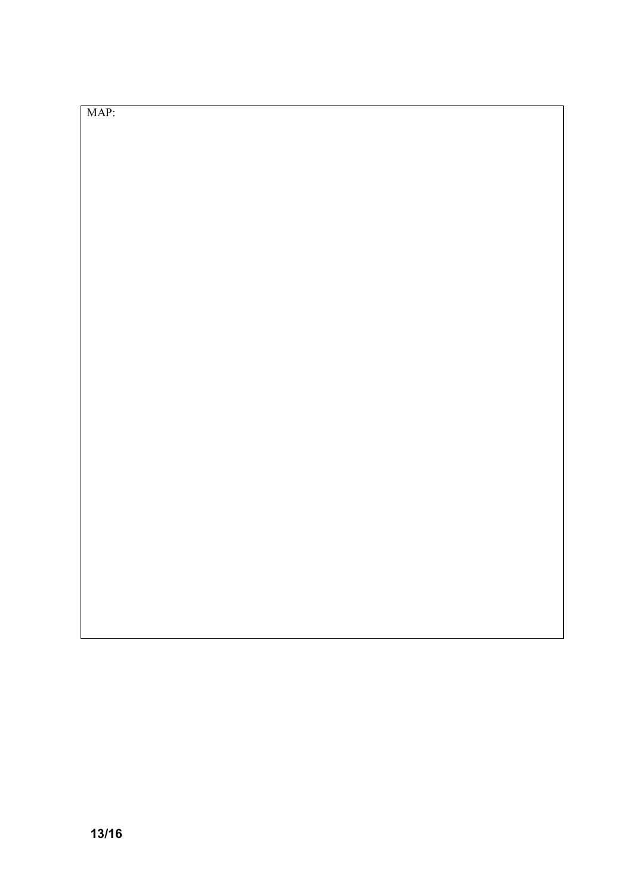#### MAP: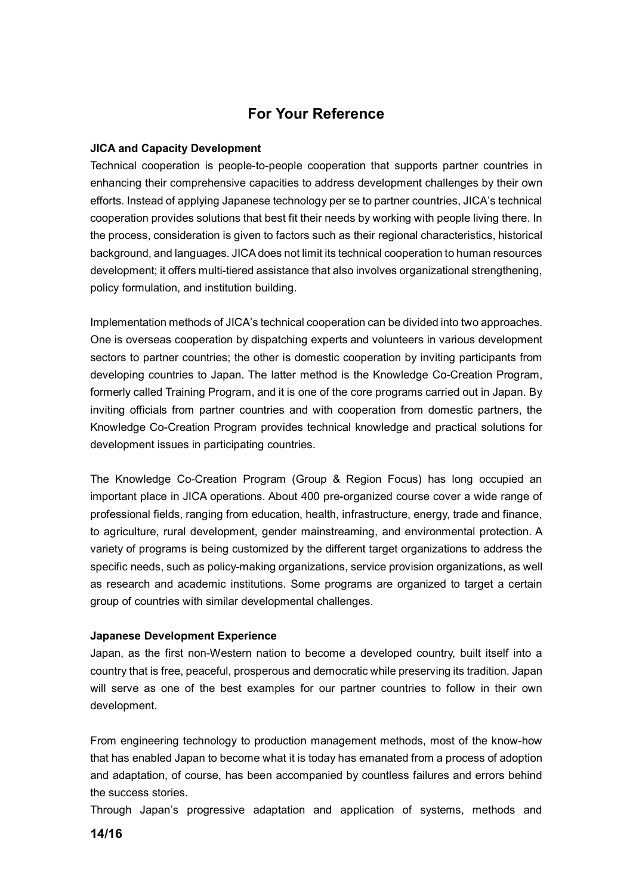### **For Your Reference**

#### **JICA and Capacity Development**

Technical cooperation is people-to-people cooperation that supports partner countries in enhancing their comprehensive capacities to address development challenges by their own efforts. Instead of applying Japanese technology per se to partner countries, JICA's technical cooperation provides solutions that best fit their needs by working with people living there. In the process, consideration is given to factors such as their regional characteristics, historical background, and languages. JICA does not limit its technical cooperation to human resources development; it offers multi-tiered assistance that also involves organizational strengthening, policy formulation, and institution building.

Implementation methods of JICA's technical cooperation can be divided into two approaches. One is overseas cooperation by dispatching experts and volunteers in various development sectors to partner countries; the other is domestic cooperation by inviting participants from developing countries to Japan. The latter method is the Knowledge Co-Creation Program, formerly called Training Program, and it is one of the core programs carried out in Japan. By inviting officials from partner countries and with cooperation from domestic partners, the Knowledge Co-Creation Program provides technical knowledge and practical solutions for development issues in participating countries.

The Knowledge Co-Creation Program (Group & Region Focus) has long occupied an important place in JICA operations. About 400 pre-organized course cover a wide range of professional fields, ranging from education, health, infrastructure, energy, trade and finance, to agriculture, rural development, gender mainstreaming, and environmental protection. A variety of programs is being customized by the different target organizations to address the specific needs, such as policy-making organizations, service provision organizations, as well as research and academic institutions. Some programs are organized to target a certain group of countries with similar developmental challenges.

#### **Japanese Development Experience**

Japan, as the first non-Western nation to become a developed country, built itself into a country that is free, peaceful, prosperous and democratic while preserving its tradition. Japan will serve as one of the best examples for our partner countries to follow in their own development.

From engineering technology to production management methods, most of the know-how that has enabled Japan to become what it is today has emanated from a process of adoption and adaptation, of course, has been accompanied by countless failures and errors behind the success stories.

Through Japan's progressive adaptation and application of systems, methods and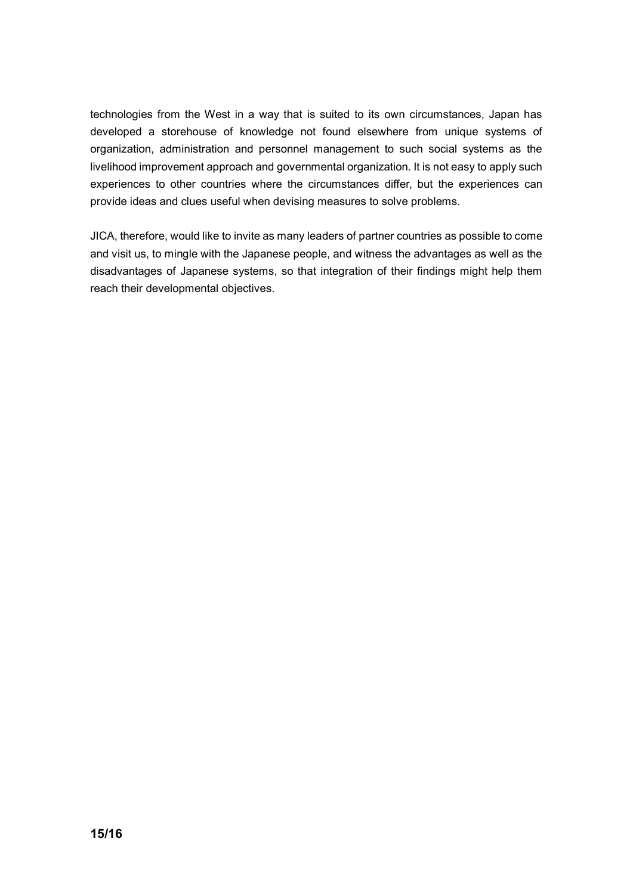technologies from the West in a way that is suited to its own circumstances, Japan has developed a storehouse of knowledge not found elsewhere from unique systems of organization, administration and personnel management to such social systems as the livelihood improvement approach and governmental organization. It is not easy to apply such experiences to other countries where the circumstances differ, but the experiences can provide ideas and clues useful when devising measures to solve problems.

JICA, therefore, would like to invite as many leaders of partner countries as possible to come and visit us, to mingle with the Japanese people, and witness the advantages as well as the disadvantages of Japanese systems, so that integration of their findings might help them reach their developmental objectives.